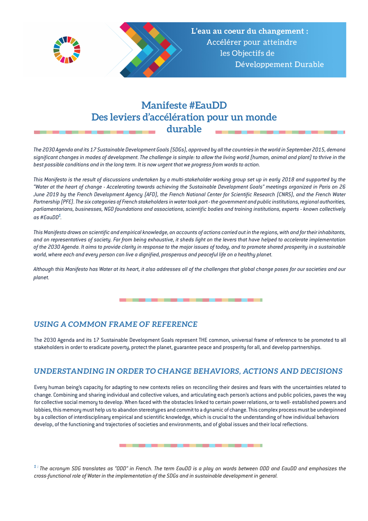



L'eau au coeur du changement : Accélérer pour atteindre les Objectifs de Développement Durable

# **Manifeste #EauDD Des leviers d'accélération pour un monde durable**

*The 2030 Agenda and its 17 Sustainable Development Goals (SDGs), approved by all the countries in the world in September 2015, demand significant changes in modes of development. The challenge is simple: to allow the living world (human, animal and plant) to thrive in the best possible conditions and in the long term. It is now urgent that we progress from words to action.*

*This Manifesto is the result of discussions undertaken by a multi-stakeholder working group set up in early 2018 and supported by the "Water at the heart of change - Accelerating towards achieving the Sustainable Development Goals" meetings organized in Paris on 26 June 2019 by the French Development Agency (AFD), the French National Center for Scientific Research (CNRS), and the French Water Partnership (PFE). The six categories of French stakeholders in water took part - the government and public institutions, regional authorities, parliamentarians, businesses, NGO foundations and associations, scientific bodies and training institutions, experts - known collectively as #EauDD<sup>1</sup> .* 

*This Manifesto draws on scientific and empirical knowledge, on accounts of actions carried out in the regions, with and for their inhabitants, and on representatives of society. Far from being exhaustive, it sheds light on the levers that have helped to accelerate implementation of the 2030 Agenda. It aims to provide clarity in response to the major issues of today, and to promote shared prosperity in a sustainable world, where each and every person can live a dignified, prosperous and peaceful life on a healthy planet.*

*Although this Manifesto has Water at its heart, it also addresses all of the challenges that global change poses for our societies and our planet.*

## *USING A COMMON FRAME OF REFERENCE*

The 2030 Agenda and its 17 Sustainable Development Goals represent THE common, universal frame of reference to be promoted to all stakeholders in order to eradicate poverty, protect the planet, guarantee peace and prosperity for all, and develop partnerships.

## *UNDERSTANDING IN ORDER TO CHANGE BEHAVIORS, ACTIONS AND DECISIONS*

Every human being's capacity for adapting to new contexts relies on reconciling their desires and fears with the uncertainties related to change. Combining and sharing individual and collective values, and articulating each person's actions and public policies, paves the way for collective social memory to develop. When faced with the obstacles linked to certain power relations, or to well- established powers and lobbies, this memory must help us to abandon stereotypes and commit to a dynamic of change. This complex process must be underpinned by a collection of interdisciplinary empirical and scientific knowledge, which is crucial to the understanding of how individual behaviors develop, of the functioning and trajectories of societies and environments, and of global issues and their local reflections.

*1 : The acronym SDG translates as "ODD" in French. The term EauDD is a play on words between ODD and EauDD and emphasizes the cross-functional role of Water in the implementation of the SDGs and in sustainable development in general.*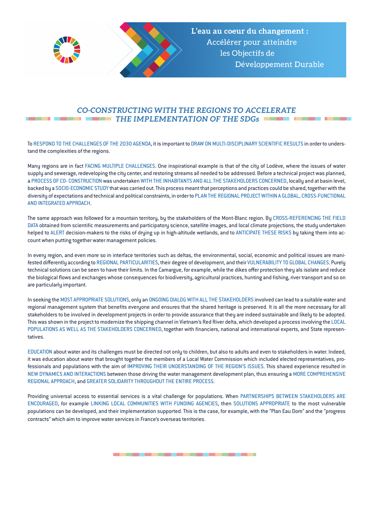



#### *CO-CONSTRUCTING WITH THE REGIONS TO ACCELERATE THE IMPLEMENTATION OF THE SDGs*

To RESPOND TO THE CHALLENGES OF THE 2030 AGENDA, it is important to DRAW ON MULTI-DISCIPLINARY SCIENTIFIC RESULTS in order to understand the complexities of the regions.

Many regions are in fact FACING MULTIPLE CHALLENGES. One inspirational example is that of the city of Lodève, where the issues of water supply and sewerage, redeveloping the city center, and restoring streams all needed to be addressed. Before a technical project was planned, a PROCESS OF CO- CONSTRUCTION was undertaken WITH THE INHABITANTS AND ALL THE STAKEHOLDERS CONCERNED, locally and at basin level, backed by a SOCIO-ECONOMIC STUDY that was carried out. This process meant that perceptions and practices could be shared, together with the diversity of expectations and technical and political constraints, in order to PLAN THE REGIONAL PROJECT WITHIN A GLOBAL, CROSS-FUNCTIONAL AND INTEGRATED APPROACH.

The same approach was followed for a mountain territory, by the stakeholders of the Mont-Blanc region. By CROSS-REFERENCING THE FIELD DATA obtained from scientific measurements and participatory science, satellite images, and local climate projections, the study undertaken helped to ALERT decision-makers to the risks of drying up in high-altitude wetlands, and to ANTICIPATE THESE RISKS by taking them into account when putting together water management policies.

In every region, and even more so in interface territories such as deltas, the environmental, social, economic and political issues are manifested differently according to REGIONAL PARTICULARITIES, their degree of development, and their VULNERABILITY TO GLOBAL CHANGES. Purely technical solutions can be seen to have their limits. In the Camargue, for example, while the dikes offer protection they als isolate and reduce the biological flows and exchanges whose consequences for biodiversity, agricultural practices, hunting and fishing, river transport and so on are particularly important.

In seeking the MOST APPROPRIATE SOLUTIONS, only an ONGOING DIALOG WITH ALL THE STAKEHOLDERS involved can lead to a suitable water and regional management system that benefits everyone and ensures that the shared heritage is preserved. It is all the more necessary for all stakeholders to be involved in development projects in order to provide assurance that they are indeed sustainable and likely to be adopted. This was shown in the project to modernize the shipping channel in Vietnam's Red River delta, which developed a process involving the LOCAL POPULATIONS AS WELL AS THE STAKEHOLDERS CONCERNED, together with financiers, national and international experts, and State representatives.

EDUCATION about water and its challenges must be directed not only to children, but also to adults and even to stakeholders in water. Indeed, it was education about water that brought together the members of a Local Water Commission which included elected representatives, professionals and populations with the aim of IMPROVING THEIR UNDERSTANDING OF THE REGION'S ISSUES. This shared experience resulted in NEW DYNAMICS AND INTERACTIONS between those driving the water management development plan, thus ensuring a MORE COMPREHENSIVE REGIONAL APPROACH, and GREATER SOLIDARITY THROUGHOUT THE ENTIRE PROCESS.

Providing universal access to essential services is a vital challenge for populations. When PARTNERSHIPS BETWEEN STAKEHOLDERS ARE ENCOURAGED, for example LINKING LOCAL COMMUNITIES WITH FUNDING AGENCIES, then SOLUTIONS APPROPRIATE to the most vulnerable populations can be developed, and their implementation supported. This is the case, for example, with the "Plan Eau Dom" and the "progress contracts" which aim to improve water services in France's overseas territories.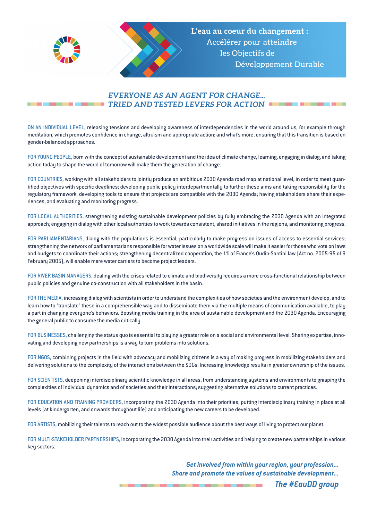



## *EVERYONE AS AN AGENT FOR CHANGE... TRIED AND TESTED LEVERS FOR ACTION*

ON AN INDIVIDUAL LEVEL, releasing tensions and developing awareness of interdependencies in the world around us, for example through meditation, which promotes confidence in change, altruism and appropriate action; and what's more, ensuring that this transition is based on gender-balanced approaches.

FOR YOUNG PEOPLE, born with the concept of sustainable development and the idea of climate change, learning, engaging in dialog, and taking action today to shape the world of tomorrow will make them the generation of change.

FOR COUNTRIES, working with all stakeholders to jointly produce an ambitious 2030 Agenda road map at national level, in order to meet quantified objectives with specific deadlines; developing public policy interdepartmentally to further these aims and taking responsibility for the regulatory framework; developing tools to ensure that projects are compatible with the 2030 Agenda; having stakeholders share their experiences, and evaluating and monitoring progress.

FOR LOCAL AUTHORITIES, strengthening existing sustainable development policies by fully embracing the 2030 Agenda with an integrated approach; engaging in dialog with other local authorities to work towards consistent, shared initiatives in the regions, and monitoring progress.

FOR PARLIAMENTARIANS, dialog with the populations is essential, particularly to make progress on issues of access to essential services; strengthening the network of parliamentarians responsible for water issues on a worldwide scale will make it easier for those who vote on laws and budgets to coordinate their actions; strengthening decentralized cooperation, the 1% of France's Oudin-Santini law (Act no. 2005-95 of 9 February 2005), will enable mere water carriers to become project leaders.

FOR RIVER BASIN MANAGERS, dealing with the crises related to climate and biodiversity requires a more cross-functional relationship between public policies and genuine co-construction with all stakeholders in the basin.

FOR THE MEDIA, increasing dialog with scientists in order to understand the complexities of how societies and the environment develop, and to learn how to "translate" these in a comprehensible way and to disseminate them via the multiple means of communication available, to play a part in changing everyone's behaviors. Boosting media training in the area of sustainable development and the 2030 Agenda. Encouraging the general public to consume the media critically.

FOR BUSINESSES, challenging the status quo is essential to playing a greater role on a social and environmental level. Sharing expertise, innovating and developing new partnerships is a way to turn problems into solutions.

FOR NGOS, combining projects in the field with advocacy and mobilizing citizens is a way of making progress in mobilizing stakeholders and delivering solutions to the complexity of the interactions between the SDGs. Increasing knowledge results in greater ownership of the issues.

FOR SCIENTISTS, deepening interdisciplinary scientific knowledge in all areas, from understanding systems and environments to grasping the complexities of individual dynamics and of societies and their interactions; suggesting alternative solutions to current practices.

FOR EDUCATION AND TRAINING PROVIDERS, incorporating the 2030 Agenda into their priorities, putting interdisciplinary training in place at all levels (at kindergarten, and onwards throughout life) and anticipating the new careers to be developed.

FOR ARTISTS, mobilizing their talents to reach out to the widest possible audience about the best ways of living to protect our planet.

FOR MULTI-STAKEHOLDER PARTNERSHIPS, incorporating the 2030 Agenda into their activities and helping to create new partnerships in various key sectors.

> *Get involved from within your region, your profession... Share and promote the values of sustainable development... The #EauDD group*